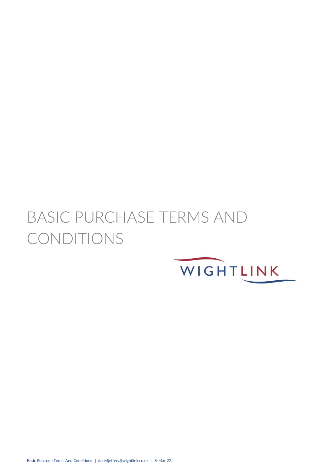# BASIC PURCHASE TERMS AND CONDITIONS

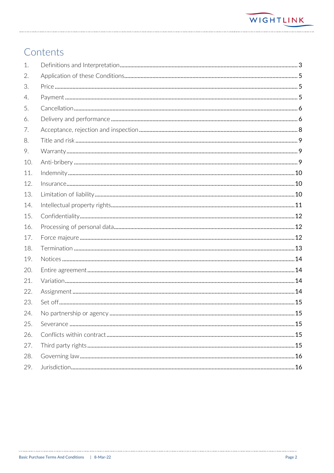# Contents

| 1.  |  |
|-----|--|
| 2.  |  |
| 3.  |  |
| 4.  |  |
| 5.  |  |
| 6.  |  |
| 7.  |  |
| 8.  |  |
| 9.  |  |
| 10. |  |
| 11. |  |
| 12. |  |
| 13. |  |
| 14. |  |
| 15. |  |
| 16. |  |
| 17. |  |
| 18. |  |
| 19. |  |
| 20. |  |
| 21. |  |
| 22. |  |
| 23. |  |
| 24. |  |
| 25. |  |
| 26. |  |
| 27. |  |
| 28. |  |
| 29. |  |

ù,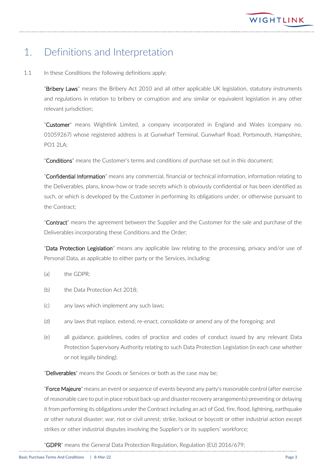# <span id="page-2-0"></span>1. Definitions and Interpretation

1.1 In these Conditions the following definitions apply:

"Bribery Laws" means the Bribery Act 2010 and all other applicable UK legislation, statutory instruments and regulations in relation to bribery or corruption and any similar or equivalent legislation in any other relevant jurisdiction;

"Customer" means Wightlink Limited, a company incorporated in England and Wales (company no. 01059267) whose registered address is at Gunwharf Terminal, Gunwharf Road, Portsmouth, Hampshire, PO1 2LA;

"**Conditions**" means the Customer's terms and conditions of purchase set out in this document;

"Confidential Information" means any commercial, financial or technical information, information relating to the Deliverables, plans, know-how or trade secrets which is obviously confidential or has been identified as such, or which is developed by the Customer in performing its obligations under, or otherwise pursuant to the Contract;

"Contract" means the agreement between the Supplier and the Customer for the sale and purchase of the Deliverables incorporating these Conditions and the Order;

"Data Protection Legislation" means any applicable law relating to the processing, privacy and/or use of Personal Data, as applicable to either party or the Services, including:

- (a) the GDPR;
- (b) the Data Protection Act 2018;
- (c) any laws which implement any such laws;
- (d) any laws that replace, extend, re-enact, consolidate or amend any of the foregoing; and
- (e) all guidance, guidelines, codes of practice and codes of conduct issued by any relevant Data Protection Supervisory Authority relating to such Data Protection Legislation (in each case whether or not legally binding);

"Deliverables" means the Goods or Services or both as the case may be:

"Force Majeure" means an event or sequence of events beyond any party's reasonable control (after exercise of reasonable care to put in place robust back-up and disaster recovery arrangements) preventing or delaying it from performing its obligations under the Contract including an act of God, fire, flood, lightning, earthquake or other natural disaster; war, riot or civil unrest; strike, lockout or boycott or other industrial action except strikes or other industrial disputes involving the Supplier's or its suppliers' workforce;

"GDPR" means the General Data Protection Regulation, Regulation (EU) 2016/679;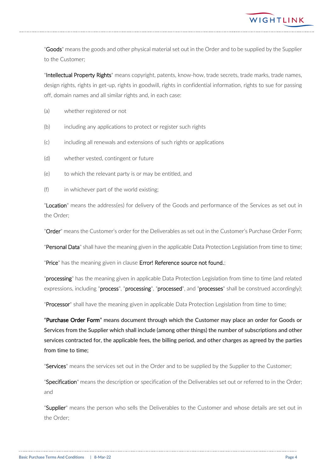

"Goods" means the goods and other physical material set out in the Order and to be supplied by the Supplier to the Customer;

"Intellectual Property Rights" means copyright, patents, know-how, trade secrets, trade marks, trade names, design rights, rights in get-up, rights in goodwill, rights in confidential information, rights to sue for passing off, domain names and all similar rights and, in each case:

- (a) whether registered or not
- (b) including any applications to protect or register such rights
- (c) including all renewals and extensions of such rights or applications
- (d) whether vested, contingent or future
- (e) to which the relevant party is or may be entitled, and
- (f) in whichever part of the world existing;

"Location" means the address(es) for delivery of the Goods and performance of the Services as set out in the Order;

"Order" means the Customer's order for the Deliverables as set out in the Customer's Purchase Order Form;

"Personal Data" shall have the meaning given in the applicable Data Protection Legislation from time to time;

"Price" has the meaning given in clause Error! Reference source not found.;

"processing" has the meaning given in applicable Data Protection Legislation from time to time (and related expressions, including "process", "processing", "processed", and "processes" shall be construed accordingly);

"Processor" shall have the meaning given in applicable Data Protection Legislation from time to time;

"Purchase Order Form" means document through which the Customer may place an order for Goods or Services from the Supplier which shall include (among other things) the number of subscriptions and other services contracted for, the applicable fees, the billing period, and other charges as agreed by the parties from time to time;

"Services" means the services set out in the Order and to be supplied by the Supplier to the Customer;

"Specification" means the description or specification of the Deliverables set out or referred to in the Order; and

"Supplier" means the person who sells the Deliverables to the Customer and whose details are set out in the Order;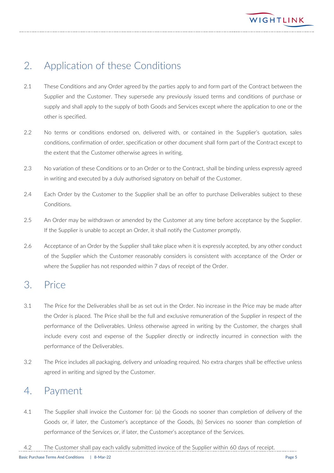# <span id="page-4-0"></span>2. Application of these Conditions

- 2.1 These Conditions and any Order agreed by the parties apply to and form part of the Contract between the Supplier and the Customer. They supersede any previously issued terms and conditions of purchase or supply and shall apply to the supply of both Goods and Services except where the application to one or the other is specified.
- 2.2 No terms or conditions endorsed on, delivered with, or contained in the Supplier's quotation, sales conditions, confirmation of order, specification or other document shall form part of the Contract except to the extent that the Customer otherwise agrees in writing.
- 2.3 No variation of these Conditions or to an Order or to the Contract, shall be binding unless expressly agreed in writing and executed by a duly authorised signatory on behalf of the Customer.
- 2.4 Each Order by the Customer to the Supplier shall be an offer to purchase Deliverables subject to these Conditions.
- 2.5 An Order may be withdrawn or amended by the Customer at any time before acceptance by the Supplier. If the Supplier is unable to accept an Order, it shall notify the Customer promptly.
- 2.6 Acceptance of an Order by the Supplier shall take place when it is expressly accepted, by any other conduct of the Supplier which the Customer reasonably considers is consistent with acceptance of the Order or where the Supplier has not responded within 7 days of receipt of the Order.

#### <span id="page-4-1"></span>3. Price

- 3.1 The Price for the Deliverables shall be as set out in the Order. No increase in the Price may be made after the Order is placed. The Price shall be the full and exclusive remuneration of the Supplier in respect of the performance of the Deliverables. Unless otherwise agreed in writing by the Customer, the charges shall include every cost and expense of the Supplier directly or indirectly incurred in connection with the performance of the Deliverables.
- 3.2 The Price includes all packaging, delivery and unloading required. No extra charges shall be effective unless agreed in writing and signed by the Customer.

# <span id="page-4-2"></span>4. Payment

4.1 The Supplier shall invoice the Customer for: (a) the Goods no sooner than completion of delivery of the Goods or, if later, the Customer's acceptance of the Goods, (b) Services no sooner than completion of performance of the Services or, if later, the Customer's acceptance of the Services.

4.2 The Customer shall pay each validly submitted invoice of the Supplier within 60 days of receipt.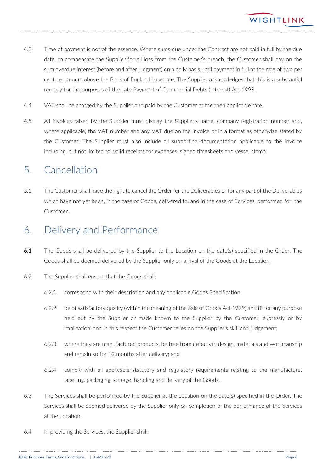

- 4.3 Time of payment is not of the essence. Where sums due under the Contract are not paid in full by the due date, to compensate the Supplier for all loss from the Customer's breach, the Customer shall pay on the sum overdue interest (before and after judgment) on a daily basis until payment in full at the rate of two per cent per annum above the Bank of England base rate. The Supplier acknowledges that this is a substantial remedy for the purposes of the Late Payment of Commercial Debts (Interest) Act 1998.
- 4.4 VAT shall be charged by the Supplier and paid by the Customer at the then applicable rate.
- 4.5 All invoices raised by the Supplier must display the Supplier's name, company registration number and, where applicable, the VAT number and any VAT due on the invoice or in a format as otherwise stated by the Customer. The Supplier must also include all supporting documentation applicable to the invoice including, but not limited to, valid receipts for expenses, signed timesheets and vessel stamp.

#### <span id="page-5-0"></span>5. Cancellation

5.1 The Customer shall have the right to cancel the Order for the Deliverables or for any part of the Deliverables which have not yet been, in the case of Goods, delivered to, and in the case of Services, performed for, the Customer.

#### <span id="page-5-1"></span>6. Delivery and Performance

- 6.1 The Goods shall be delivered by the Supplier to the Location on the date(s) specified in the Order. The Goods shall be deemed delivered by the Supplier only on arrival of the Goods at the Location.
- 6.2 The Supplier shall ensure that the Goods shall:
	- 6.2.1 correspond with their description and any applicable Goods Specification;
	- 6.2.2 be of satisfactory quality (within the meaning of the Sale of Goods Act 1979) and fit for any purpose held out by the Supplier or made known to the Supplier by the Customer, expressly or by implication, and in this respect the Customer relies on the Supplier's skill and judgement;
	- 6.2.3 where they are manufactured products, be free from defects in design, materials and workmanship and remain so for 12 months after delivery; and
	- 6.2.4 comply with all applicable statutory and regulatory requirements relating to the manufacture, labelling, packaging, storage, handling and delivery of the Goods.
- 6.3 The Services shall be performed by the Supplier at the Location on the date(s) specified in the Order. The Services shall be deemed delivered by the Supplier only on completion of the performance of the Services at the Location.
- 6.4 In providing the Services, the Supplier shall: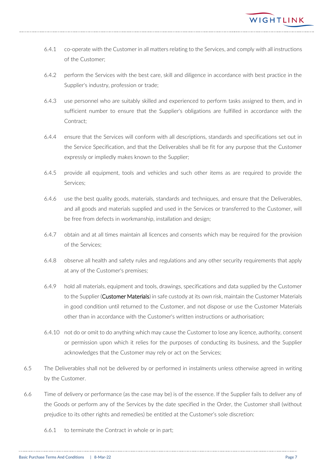- 6.4.1 co-operate with the Customer in all matters relating to the Services, and comply with all instructions of the Customer;
- 6.4.2 perform the Services with the best care, skill and diligence in accordance with best practice in the Supplier's industry, profession or trade;
- 6.4.3 use personnel who are suitably skilled and experienced to perform tasks assigned to them, and in sufficient number to ensure that the Supplier's obligations are fulfilled in accordance with the Contract;
- 6.4.4 ensure that the Services will conform with all descriptions, standards and specifications set out in the Service Specification, and that the Deliverables shall be fit for any purpose that the Customer expressly or impliedly makes known to the Supplier;
- 6.4.5 provide all equipment, tools and vehicles and such other items as are required to provide the Services;
- 6.4.6 use the best quality goods, materials, standards and techniques, and ensure that the Deliverables, and all goods and materials supplied and used in the Services or transferred to the Customer, will be free from defects in workmanship, installation and design;
- 6.4.7 obtain and at all times maintain all licences and consents which may be required for the provision of the Services;
- 6.4.8 observe all health and safety rules and regulations and any other security requirements that apply at any of the Customer's premises;
- 6.4.9 hold all materials, equipment and tools, drawings, specifications and data supplied by the Customer to the Supplier (Customer Materials) in safe custody at its own risk, maintain the Customer Materials in good condition until returned to the Customer, and not dispose or use the Customer Materials other than in accordance with the Customer's written instructions or authorisation;
- 6.4.10 not do or omit to do anything which may cause the Customer to lose any licence, authority, consent or permission upon which it relies for the purposes of conducting its business, and the Supplier acknowledges that the Customer may rely or act on the Services;
- 6.5 The Deliverables shall not be delivered by or performed in instalments unless otherwise agreed in writing by the Customer.
- 6.6 Time of delivery or performance (as the case may be) is of the essence. If the Supplier fails to deliver any of the Goods or perform any of the Services by the date specified in the Order, the Customer shall (without prejudice to its other rights and remedies) be entitled at the Customer's sole discretion:
	- 6.6.1 to terminate the Contract in whole or in part;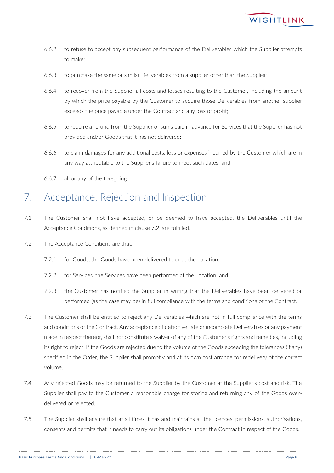- 6.6.2 to refuse to accept any subsequent performance of the Deliverables which the Supplier attempts to make;
- 6.6.3 to purchase the same or similar Deliverables from a supplier other than the Supplier;
- 6.6.4 to recover from the Supplier all costs and losses resulting to the Customer, including the amount by which the price payable by the Customer to acquire those Deliverables from another supplier exceeds the price payable under the Contract and any loss of profit;
- 6.6.5 to require a refund from the Supplier of sums paid in advance for Services that the Supplier has not provided and/or Goods that it has not delivered;
- 6.6.6 to claim damages for any additional costs, loss or expenses incurred by the Customer which are in any way attributable to the Supplier's failure to meet such dates; and
- 6.6.7 all or any of the foregoing.

# <span id="page-7-0"></span>7. Acceptance, Rejection and Inspection

- 7.1 The Customer shall not have accepted, or be deemed to have accepted, the Deliverables until the Acceptance Conditions, as defined in clause 7.2, are fulfilled.
- 7.2 The Acceptance Conditions are that:
	- 7.2.1 for Goods, the Goods have been delivered to or at the Location;
	- 7.2.2 for Services, the Services have been performed at the Location; and
	- 7.2.3 the Customer has notified the Supplier in writing that the Deliverables have been delivered or performed (as the case may be) in full compliance with the terms and conditions of the Contract.
- 7.3 The Customer shall be entitled to reject any Deliverables which are not in full compliance with the terms and conditions of the Contract. Any acceptance of defective, late or incomplete Deliverables or any payment made in respect thereof, shall not constitute a waiver of any of the Customer's rights and remedies, including its right to reject. If the Goods are rejected due to the volume of the Goods exceeding the tolerances (if any) specified in the Order, the Supplier shall promptly and at its own cost arrange for redelivery of the correct volume.
- 7.4 Any rejected Goods may be returned to the Supplier by the Customer at the Supplier's cost and risk. The Supplier shall pay to the Customer a reasonable charge for storing and returning any of the Goods overdelivered or rejected.
- 7.5 The Supplier shall ensure that at all times it has and maintains all the licences, permissions, authorisations, consents and permits that it needs to carry out its obligations under the Contract in respect of the Goods.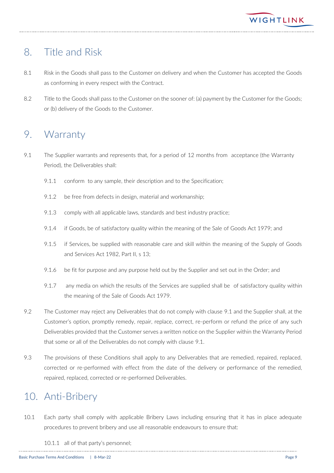

## <span id="page-8-0"></span>8. Title and Risk

- 8.1 Risk in the Goods shall pass to the Customer on delivery and when the Customer has accepted the Goods as conforming in every respect with the Contract.
- 8.2 Title to the Goods shall pass to the Customer on the sooner of: (a) payment by the Customer for the Goods; or (b) delivery of the Goods to the Customer.

#### <span id="page-8-1"></span>9. Warranty

- <span id="page-8-3"></span>9.1 The Supplier warrants and represents that, for a period of 12 months from acceptance (the Warranty Period), the Deliverables shall:
	- 9.1.1 conform to any sample, their description and to the Specification;
	- 9.1.2 be free from defects in design, material and workmanship;
	- 9.1.3 comply with all applicable laws, standards and best industry practice;
	- 9.1.4 if Goods, be of satisfactory quality within the meaning of the Sale of Goods Act 1979; and
	- 9.1.5 if Services, be supplied with reasonable care and skill within the meaning of the Supply of Goods and Services Act 1982, Part II, s 13;
	- 9.1.6 be fit for purpose and any purpose held out by the Supplier and set out in the Order; and
	- 9.1.7 any media on which the results of the Services are supplied shall be of satisfactory quality within the meaning of the Sale of Goods Act 1979.
- 9.2 The Customer may reject any Deliverables that do not comply with clause [9.1](#page-8-3) and the Supplier shall, at the Customer's option, promptly remedy, repair, replace, correct, re-perform or refund the price of any such Deliverables provided that the Customer serves a written notice on the Supplier within the Warranty Period that some or all of the Deliverables do not comply with clause [9.1.](#page-8-3)
- 9.3 The provisions of these Conditions shall apply to any Deliverables that are remedied, repaired, replaced, corrected or re-performed with effect from the date of the delivery or performance of the remedied, repaired, replaced, corrected or re-performed Deliverables.

# <span id="page-8-2"></span>10. Anti-Bribery

- 10.1 Each party shall comply with applicable Bribery Laws including ensuring that it has in place adequate procedures to prevent bribery and use all reasonable endeavours to ensure that:
	- 10.1.1 all of that party's personnel;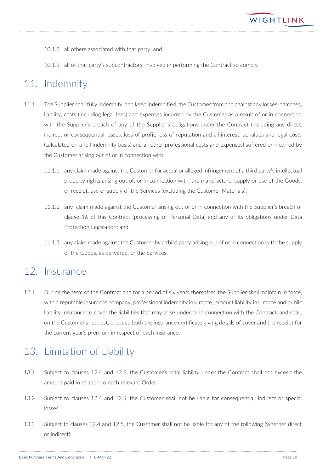

- 10.1.2 all others associated with that party; and
- 10.1.3 all of that party's subcontractors; involved in performing the Contract so comply.

# <span id="page-9-0"></span>11. Indemnity

- 11.1 The Supplier shall fully indemnify, and keep indemnified, the Customer from and against any losses, damages, liability, costs (including legal fees) and expenses incurred by the Customer as a result of or in connection with the Supplier's breach of any of the Supplier's obligations under the Contract (including any direct, indirect or consequential losses, loss of profit, loss of reputation and all interest, penalties and legal costs (calculated on a full indemnity basis) and all other professional costs and expenses) suffered or incurred by the Customer arising out of or in connection with:
	- 11.1.1 any claim made against the Customer for actual or alleged infringement of a third party's intellectual property rights arising out of, or in connection with, the manufacture, supply or use of the Goods, or receipt, use or supply of the Services (excluding the Customer Materials);
	- 11.1.2 any claim made against the Customer arising out of or in connection with the Supplier's breach of clause 16 of this Contract (processing of Personal Data) and any of its obligations under Data Protection Legislation; and
	- 11.1.3 any claim made against the Customer by a third party arising out of or in connection with the supply of the Goods, as delivered, or the Services.

#### <span id="page-9-1"></span>12. Insurance

12.1 During the term of the Contract and for a period of six years thereafter, the Supplier shall maintain in force, with a reputable insurance company, professional indemnity insurance, product liability insurance and public liability insurance to cover the liabilities that may arise under or in connection with the Contract, and shall, on the Customer's request, produce both the insurance certificate giving details of cover and the receipt for the current year's premium in respect of each insurance.

# <span id="page-9-2"></span>13. Limitation of Liability

- 13.1 Subject to clauses 12.4 and 12.5, the Customer's total liability under the Contract shall not exceed the amount paid in relation to each relevant Order.
- 13.2 Subject to clauses 12.4 and 12.5, the Customer shall not be liable for consequential, indirect or special losses.
- 13.3 Subject to clauses 12.4 and 12.5, the Customer shall not be liable for any of the following (whether direct or indirect):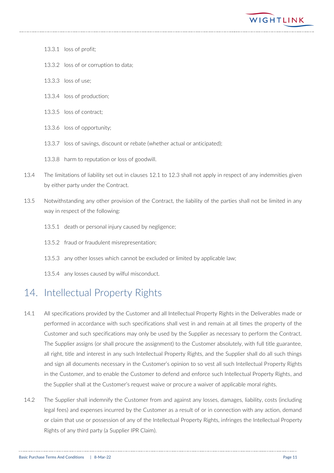

- 13.3.1 loss of profit;
- 13.3.2 loss of or corruption to data;
- 13.3.3 loss of use;
- 13.3.4 loss of production;
- 13.3.5 loss of contract;
- 13.3.6 loss of opportunity;
- 13.3.7 loss of savings, discount or rebate (whether actual or anticipated);
- 13.3.8 harm to reputation or loss of goodwill.
- 13.4 The limitations of liability set out in clauses 12.1 to 12.3 shall not apply in respect of any indemnities given by either party under the Contract.
- 13.5 Notwithstanding any other provision of the Contract, the liability of the parties shall not be limited in any way in respect of the following:
	- 13.5.1 death or personal injury caused by negligence;
	- 13.5.2 fraud or fraudulent misrepresentation;
	- 13.5.3 any other losses which cannot be excluded or limited by applicable law;
	- 13.5.4 any losses caused by wilful misconduct.

# <span id="page-10-0"></span>14. Intellectual Property Rights

- 14.1 All specifications provided by the Customer and all Intellectual Property Rights in the Deliverables made or performed in accordance with such specifications shall vest in and remain at all times the property of the Customer and such specifications may only be used by the Supplier as necessary to perform the Contract. The Supplier assigns (or shall procure the assignment) to the Customer absolutely, with full title guarantee, all right, title and interest in any such Intellectual Property Rights, and the Supplier shall do all such things and sign all documents necessary in the Customer's opinion to so vest all such Intellectual Property Rights in the Customer, and to enable the Customer to defend and enforce such Intellectual Property Rights, and the Supplier shall at the Customer's request waive or procure a waiver of applicable moral rights.
- 14.2 The Supplier shall indemnify the Customer from and against any losses, damages, liability, costs (including legal fees) and expenses incurred by the Customer as a result of or in connection with any action, demand or claim that use or possession of any of the Intellectual Property Rights, infringes the Intellectual Property Rights of any third party (a Supplier IPR Claim).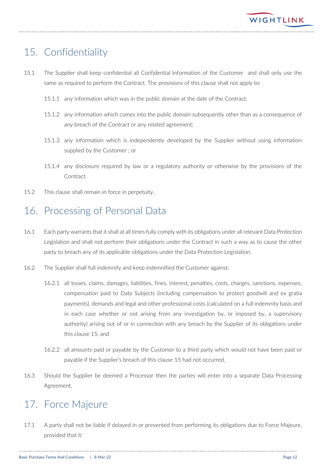# <span id="page-11-0"></span>15. Confidentiality

- 15.1 The Supplier shall keep confidential all Confidential Information of the Customer and shall only use the same as required to perform the Contract. The provisions of this clause shall not apply to:
	- 15.1.1 any information which was in the public domain at the date of the Contract;
	- 15.1.2 any information which comes into the public domain subsequently other than as a consequence of any breach of the Contract or any related agreement;
	- 15.1.3 any information which is independently developed by the Supplier without using information supplied by the Customer ; or
	- 15.1.4 any disclosure required by law or a regulatory authority or otherwise by the provisions of the Contract.
- 15.2 This clause shall remain in force in perpetuity.

### <span id="page-11-1"></span>16. Processing of Personal Data

- 16.1 Each party warrants that it shall at all times fully comply with its obligations under all relevant Data Protection Legislation and shall not perform their obligations under the Contract in such a way as to cause the other party to breach any of its applicable obligations under the Data Protection Legislation.
- 16.2 The Supplier shall full indemnify and keep indemnified the Customer against:
	- 16.2.1 all losses, claims, damages, liabilities, fines, interest, penalties, costs, charges, sanctions, expenses, compensation paid to Data Subjects (including compensation to protect goodwill and ex gratia payments), demands and legal and other professional costs (calculated on a full indemnity basis and in each case whether or not arising from any investigation by, or imposed by, a supervisory authority) arising out of or in connection with any breach by the Supplier of its obligations under this clause 15; and
	- 16.2.2 all amounts paid or payable by the Customer to a third party which would not have been paid or payable if the Supplier's breach of this clause 15 had not occurred.
- 16.3 Should the Supplier be deemed a Processor then the parties will enter into a separate Data Processing Agreement.

# <span id="page-11-2"></span>17. Force Majeure

17.1 A party shall not be liable if delayed in or prevented from performing its obligations due to Force Majeure, provided that it: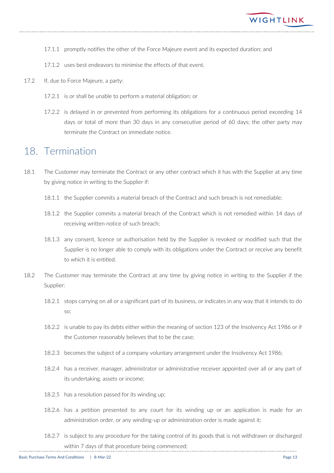

- 17.1.1 promptly notifies the other of the Force Majeure event and its expected duration; and
- 17.1.2 uses best endeavors to minimise the effects of that event.
- 17.2 If, due to Force Majeure, a party:
	- 17.2.1 is or shall be unable to perform a material obligation; or
	- 17.2.2 is delayed in or prevented from performing its obligations for a continuous period exceeding 14 days or total of more than 30 days in any consecutive period of 60 days; the other party may terminate the Contract on immediate notice.

#### <span id="page-12-0"></span>18. Termination

- 18.1 The Customer may terminate the Contract or any other contract which it has with the Supplier at any time by giving notice in writing to the Supplier if:
	- 18.1.1 the Supplier commits a material breach of the Contract and such breach is not remediable;
	- 18.1.2 the Supplier commits a material breach of the Contract which is not remedied within 14 days of receiving written notice of such breach;
	- 18.1.3 any consent, licence or authorisation held by the Supplier is revoked or modified such that the Supplier is no longer able to comply with its obligations under the Contract or receive any benefit to which it is entitled.
- 18.2 The Customer may terminate the Contract at any time by giving notice in writing to the Supplier if the Supplier:
	- 18.2.1 stops carrying on all or a significant part of its business, or indicates in any way that it intends to do so;
	- 18.2.2 is unable to pay its debts either within the meaning of section 123 of the Insolvency Act 1986 or if the Customer reasonably believes that to be the case;
	- 18.2.3 becomes the subject of a company voluntary arrangement under the Insolvency Act 1986;
	- 18.2.4 has a receiver, manager, administrator or administrative receiver appointed over all or any part of its undertaking, assets or income;
	- 18.2.5 has a resolution passed for its winding up;
	- 18.2.6 has a petition presented to any court for its winding up or an application is made for an administration order, or any winding-up or administration order is made against it;
	- 18.2.7 is subject to any procedure for the taking control of its goods that is not withdrawn or discharged within 7 days of that procedure being commenced;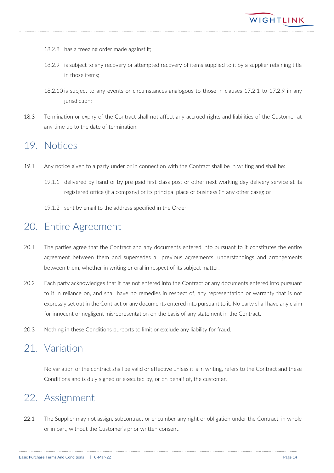

- 18.2.8 has a freezing order made against it;
- 18.2.9 is subject to any recovery or attempted recovery of items supplied to it by a supplier retaining title in those items;
- 18.2.10 is subject to any events or circumstances analogous to those in clauses 17.2.1 to 17.2.9 in any jurisdiction:
- 18.3 Termination or expiry of the Contract shall not affect any accrued rights and liabilities of the Customer at any time up to the date of termination.

#### <span id="page-13-0"></span>19. Notices

- 19.1 Any notice given to a party under or in connection with the Contract shall be in writing and shall be:
	- 19.1.1 delivered by hand or by pre-paid first-class post or other next working day delivery service at its registered office (if a company) or its principal place of business (in any other case); or
	- 19.1.2 sent by email to the address specified in the Order.

# <span id="page-13-1"></span>20. Entire Agreement

- 20.1 The parties agree that the Contract and any documents entered into pursuant to it constitutes the entire agreement between them and supersedes all previous agreements, understandings and arrangements between them, whether in writing or oral in respect of its subject matter.
- 20.2 Each party acknowledges that it has not entered into the Contract or any documents entered into pursuant to it in reliance on, and shall have no remedies in respect of, any representation or warranty that is not expressly set out in the Contract or any documents entered into pursuant to it. No party shall have any claim for innocent or negligent misrepresentation on the basis of any statement in the Contract.
- 20.3 Nothing in these Conditions purports to limit or exclude any liability for fraud.

#### <span id="page-13-2"></span>21. Variation

No variation of the contract shall be valid or effective unless it is in writing, refers to the Contract and these Conditions and is duly signed or executed by, or on behalf of, the customer.

# <span id="page-13-3"></span>22. Assignment

22.1 The Supplier may not assign, subcontract or encumber any right or obligation under the Contract, in whole or in part, without the Customer's prior written consent.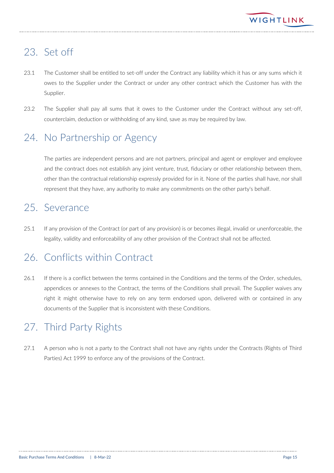# <span id="page-14-0"></span>23. Set off

- 23.1 The Customer shall be entitled to set-off under the Contract any liability which it has or any sums which it owes to the Supplier under the Contract or under any other contract which the Customer has with the Supplier.
- 23.2 The Supplier shall pay all sums that it owes to the Customer under the Contract without any set-off, counterclaim, deduction or withholding of any kind, save as may be required by law.

# <span id="page-14-1"></span>24. No Partnership or Agency

The parties are independent persons and are not partners, principal and agent or employer and employee and the contract does not establish any joint venture, trust, fiduciary or other relationship between them, other than the contractual relationship expressly provided for in it. None of the parties shall have, nor shall represent that they have, any authority to make any commitments on the other party's behalf.

# <span id="page-14-2"></span>25. Severance

25.1 If any provision of the Contract (or part of any provision) is or becomes illegal, invalid or unenforceable, the legality, validity and enforceability of any other provision of the Contract shall not be affected.

# <span id="page-14-3"></span>26. Conflicts within Contract

26.1 If there is a conflict between the terms contained in the Conditions and the terms of the Order, schedules, appendices or annexes to the Contract, the terms of the Conditions shall prevail. The Supplier waives any right it might otherwise have to rely on any term endorsed upon, delivered with or contained in any documents of the Supplier that is inconsistent with these Conditions.

# <span id="page-14-4"></span>27. Third Party Rights

27.1 A person who is not a party to the Contract shall not have any rights under the Contracts (Rights of Third Parties) Act 1999 to enforce any of the provisions of the Contract.